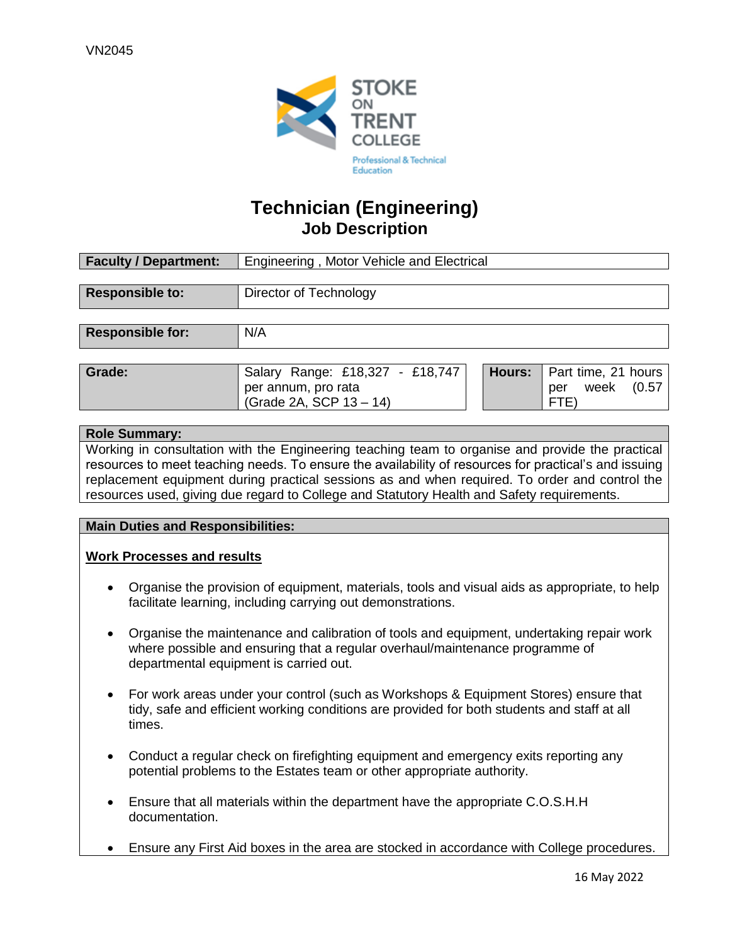

### **Technician (Engineering) Job Description**

| <b>Faculty / Department:</b> | Engineering, Motor Vehicle and Electrical                                         |               |                                                      |  |
|------------------------------|-----------------------------------------------------------------------------------|---------------|------------------------------------------------------|--|
|                              |                                                                                   |               |                                                      |  |
| <b>Responsible to:</b>       | Director of Technology                                                            |               |                                                      |  |
|                              |                                                                                   |               |                                                      |  |
| <b>Responsible for:</b>      | N/A                                                                               |               |                                                      |  |
|                              |                                                                                   |               |                                                      |  |
| Grade:                       | Salary Range: £18,327 - £18,747<br>per annum, pro rata<br>(Grade 2A, SCP 13 - 14) | <b>Hours:</b> | Part time, 21 hours<br>(0.57)<br>week<br>per<br>FTE) |  |
|                              |                                                                                   |               |                                                      |  |

#### **Role Summary:**

Working in consultation with the Engineering teaching team to organise and provide the practical resources to meet teaching needs. To ensure the availability of resources for practical's and issuing replacement equipment during practical sessions as and when required. To order and control the resources used, giving due regard to College and Statutory Health and Safety requirements.

#### **Main Duties and Responsibilities:**

#### **Work Processes and results**

- Organise the provision of equipment, materials, tools and visual aids as appropriate, to help facilitate learning, including carrying out demonstrations.
- Organise the maintenance and calibration of tools and equipment, undertaking repair work where possible and ensuring that a regular overhaul/maintenance programme of departmental equipment is carried out.
- For work areas under your control (such as Workshops & Equipment Stores) ensure that tidy, safe and efficient working conditions are provided for both students and staff at all times.
- Conduct a regular check on firefighting equipment and emergency exits reporting any potential problems to the Estates team or other appropriate authority.
- Ensure that all materials within the department have the appropriate C.O.S.H.H documentation.
- Ensure any First Aid boxes in the area are stocked in accordance with College procedures.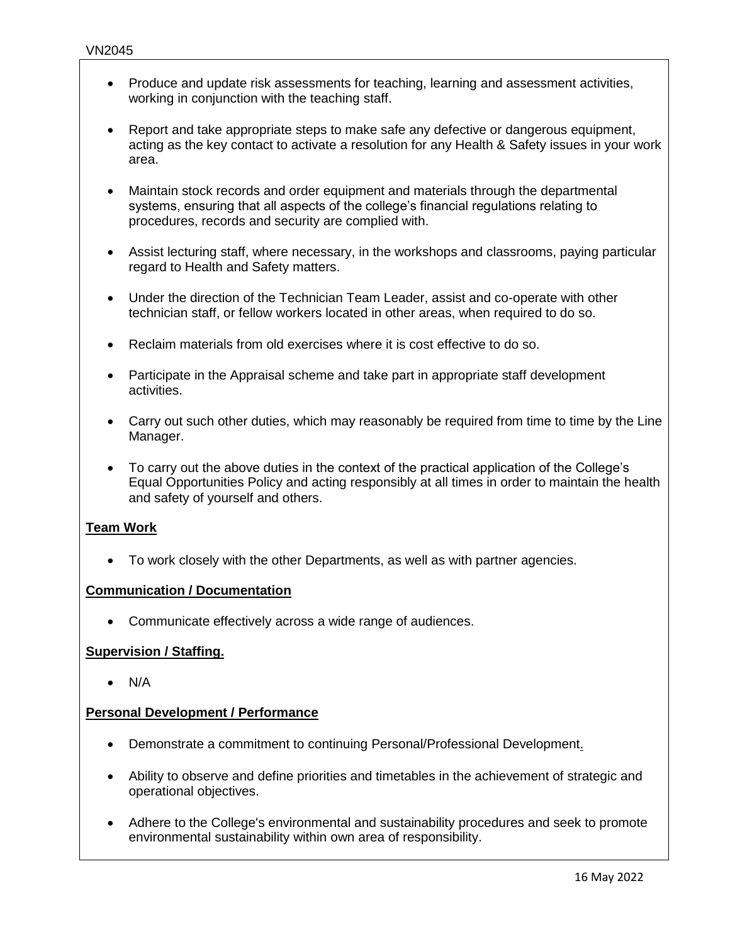- Produce and update risk assessments for teaching, learning and assessment activities, working in conjunction with the teaching staff.
- Report and take appropriate steps to make safe any defective or dangerous equipment, acting as the key contact to activate a resolution for any Health & Safety issues in your work area.
- Maintain stock records and order equipment and materials through the departmental systems, ensuring that all aspects of the college's financial regulations relating to procedures, records and security are complied with.
- Assist lecturing staff, where necessary, in the workshops and classrooms, paying particular regard to Health and Safety matters.
- Under the direction of the Technician Team Leader, assist and co-operate with other technician staff, or fellow workers located in other areas, when required to do so.
- Reclaim materials from old exercises where it is cost effective to do so.
- Participate in the Appraisal scheme and take part in appropriate staff development activities.
- Carry out such other duties, which may reasonably be required from time to time by the Line Manager.
- To carry out the above duties in the context of the practical application of the College's Equal Opportunities Policy and acting responsibly at all times in order to maintain the health and safety of yourself and others.

#### **Team Work**

• To work closely with the other Departments, as well as with partner agencies.

#### **Communication / Documentation**

• Communicate effectively across a wide range of audiences.

#### **Supervision / Staffing.**

• N/A

#### **Personal Development / Performance**

- Demonstrate a commitment to continuing Personal/Professional Development.
- Ability to observe and define priorities and timetables in the achievement of strategic and operational objectives.
- Adhere to the College's environmental and sustainability procedures and seek to promote environmental sustainability within own area of responsibility.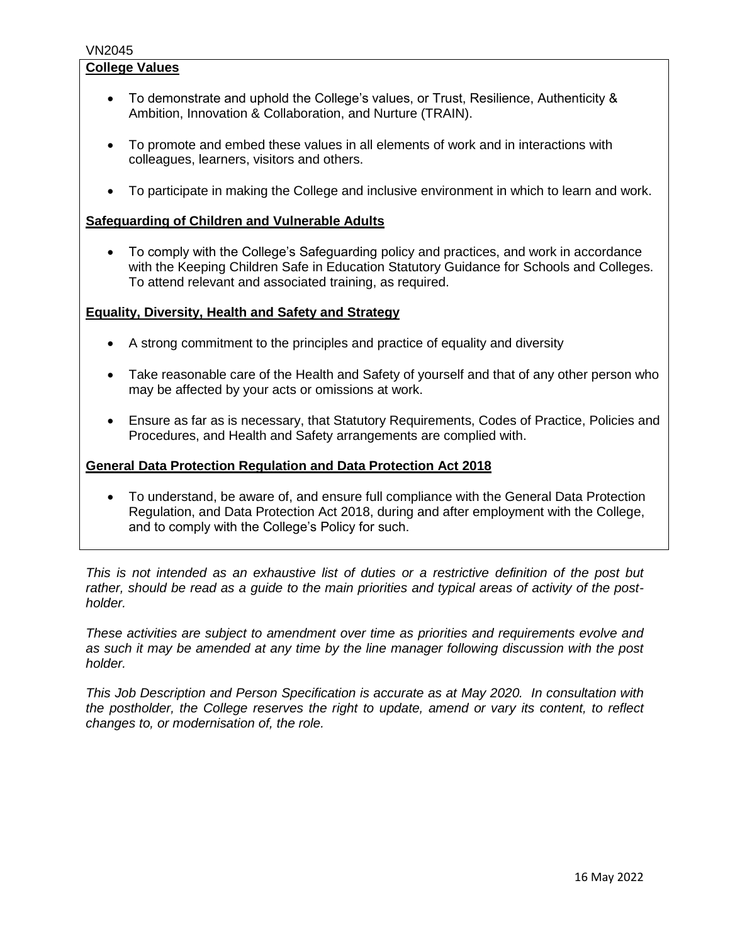#### VN2045

#### **College Values**

- To demonstrate and uphold the College's values, or Trust, Resilience, Authenticity & Ambition, Innovation & Collaboration, and Nurture (TRAIN).
- To promote and embed these values in all elements of work and in interactions with colleagues, learners, visitors and others.
- To participate in making the College and inclusive environment in which to learn and work.

#### **Safeguarding of Children and Vulnerable Adults**

• To comply with the College's Safeguarding policy and practices, and work in accordance with the Keeping Children Safe in Education Statutory Guidance for Schools and Colleges. To attend relevant and associated training, as required.

#### **Equality, Diversity, Health and Safety and Strategy**

- A strong commitment to the principles and practice of equality and diversity
- Take reasonable care of the Health and Safety of yourself and that of any other person who may be affected by your acts or omissions at work.
- Ensure as far as is necessary, that Statutory Requirements, Codes of Practice, Policies and Procedures, and Health and Safety arrangements are complied with.

#### **General Data Protection Regulation and Data Protection Act 2018**

• To understand, be aware of, and ensure full compliance with the General Data Protection Regulation, and Data Protection Act 2018, during and after employment with the College, and to comply with the College's Policy for such.

*This is not intended as an exhaustive list of duties or a restrictive definition of the post but rather, should be read as a guide to the main priorities and typical areas of activity of the postholder.*

*These activities are subject to amendment over time as priorities and requirements evolve and as such it may be amended at any time by the line manager following discussion with the post holder.*

*This Job Description and Person Specification is accurate as at May 2020. In consultation with the postholder, the College reserves the right to update, amend or vary its content, to reflect changes to, or modernisation of, the role.*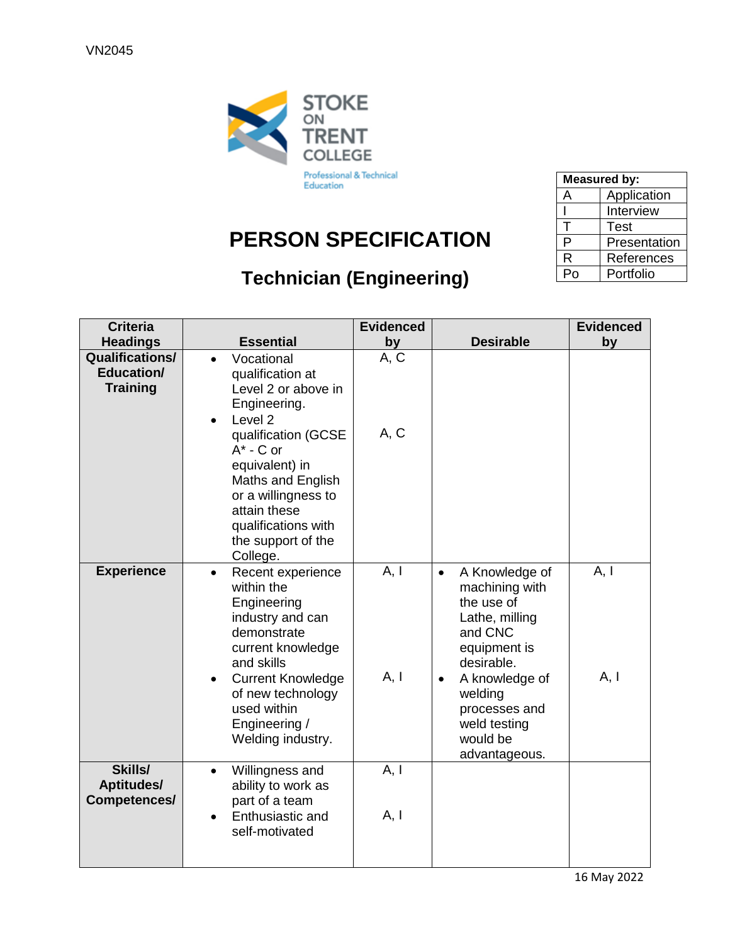

# **PERSON SPECIFICATION**

## **Technician (Engineering)**

| <b>Measured by:</b> |              |  |  |
|---------------------|--------------|--|--|
| А                   | Application  |  |  |
|                     | Interview    |  |  |
| т                   | <b>Test</b>  |  |  |
| P                   | Presentation |  |  |
| R                   | References   |  |  |
| Po                  | Portfolio    |  |  |

| <b>Criteria</b><br><b>Headings</b>                      | <b>Essential</b>                                                                                                                                                                                                                                                                        | <b>Evidenced</b><br>by | <b>Desirable</b>                                                                                                                                                                                                               | <b>Evidenced</b><br>by |
|---------------------------------------------------------|-----------------------------------------------------------------------------------------------------------------------------------------------------------------------------------------------------------------------------------------------------------------------------------------|------------------------|--------------------------------------------------------------------------------------------------------------------------------------------------------------------------------------------------------------------------------|------------------------|
| <b>Qualifications/</b><br>Education/<br><b>Training</b> | Vocational<br>$\bullet$<br>qualification at<br>Level 2 or above in<br>Engineering.<br>Level <sub>2</sub><br>$\bullet$<br>qualification (GCSE<br>$A^*$ - C or<br>equivalent) in<br>Maths and English<br>or a willingness to<br>attain these<br>qualifications with<br>the support of the | A, C<br>A, C           |                                                                                                                                                                                                                                |                        |
| <b>Experience</b>                                       | College.<br>Recent experience<br>$\bullet$<br>within the<br>Engineering<br>industry and can<br>demonstrate<br>current knowledge<br>and skills<br><b>Current Knowledge</b><br>$\bullet$<br>of new technology<br>used within<br>Engineering /<br>Welding industry.                        | A, I<br>A, I           | A Knowledge of<br>$\bullet$<br>machining with<br>the use of<br>Lathe, milling<br>and CNC<br>equipment is<br>desirable.<br>A knowledge of<br>$\bullet$<br>welding<br>processes and<br>weld testing<br>would be<br>advantageous. | A, I<br>A, I           |
| Skills/<br><b>Aptitudes/</b><br>Competences/            | Willingness and<br>$\bullet$<br>ability to work as<br>part of a team<br>Enthusiastic and<br>self-motivated                                                                                                                                                                              | A, I<br>A, I           |                                                                                                                                                                                                                                |                        |